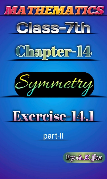







# Exercise-14.1

## part-II

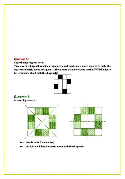#### Question 5:

Copy the figure given here:

Take any one diagonal as a line of symmetry and shade a few more squares to make the figure symmetric about a diagonal. Is there more than one way to do that? Will the figure be symmetric about both the diagonals?



### Answer 5:

Answer figures are:



Yes, there is more than one way.

Yes, this figure will be symmetric about both the diagonals.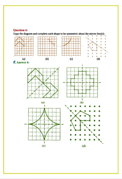#### Question 6:



Copy the diagram and complete each shape to be symmetric about the mirror line(s):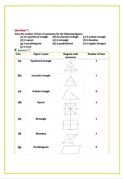#### Question 7

State the number of lines of symmetry for the following figures:<br>
(a) An equilateral triangle (b) An isosceles triangle (c) A scalene triangle

- 
- -
- (d) A square (e) A rectangle
- 
- (f) A rhombus
- (g) A parallelogram
- (h) A quadrilateral
- (i) A regular hexagon

#### (j) A circle EAnswer 7:

| S.No. | <b>Figure's name</b>        | <b>Diagram</b> with<br>symmetry | <b>Number of lines</b>  |
|-------|-----------------------------|---------------------------------|-------------------------|
| (a)   | <b>Equilateral triangle</b> |                                 | $\overline{\mathbf{3}}$ |
| (b)   | Isosceles triangle          |                                 | 1                       |
| (c)   | Scalene triangle            |                                 | 0                       |
| (d)   | Square                      |                                 | 4                       |
| (e)   | Rectangle                   |                                 | 2                       |
| (f)   | <b>Rhombus</b>              |                                 | 2                       |
| (g)   | Parallelogram               |                                 | $\bf{0}$                |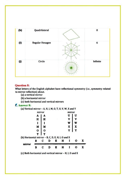

#### Question 8:

What letters of the English alphabet have reflectional symmetry (i.e., symmetry related to mirror reflection) about.

(a) a vertical mirror

(b) a horizontal mirror

(c) both horizontal and vertical mirrors

#### Answer 8:

(a) Vertical mirror- A, H, 1, M,0, T, U, V, W, X and Y

|                                                   | mirror |             |  |  | mirror |   |   |  |
|---------------------------------------------------|--------|-------------|--|--|--------|---|---|--|
|                                                   |        |             |  |  |        | U | Н |  |
|                                                   | н      |             |  |  |        |   |   |  |
|                                                   |        |             |  |  |        | W |   |  |
|                                                   | M      |             |  |  |        | x |   |  |
|                                                   | o      | 0           |  |  |        | Y |   |  |
|                                                   | т      | т           |  |  |        |   |   |  |
| (b) Horizontal mirror - B, C, D, E, H, I, O and X |        |             |  |  |        |   |   |  |
|                                                   | в      | c           |  |  | н      |   |   |  |
| mirror                                            |        |             |  |  |        |   |   |  |
|                                                   | в      | $\mathbf C$ |  |  | н      |   |   |  |
|                                                   |        |             |  |  |        |   |   |  |

(c) Both horizontal and vertical mirror - H, I, O and X